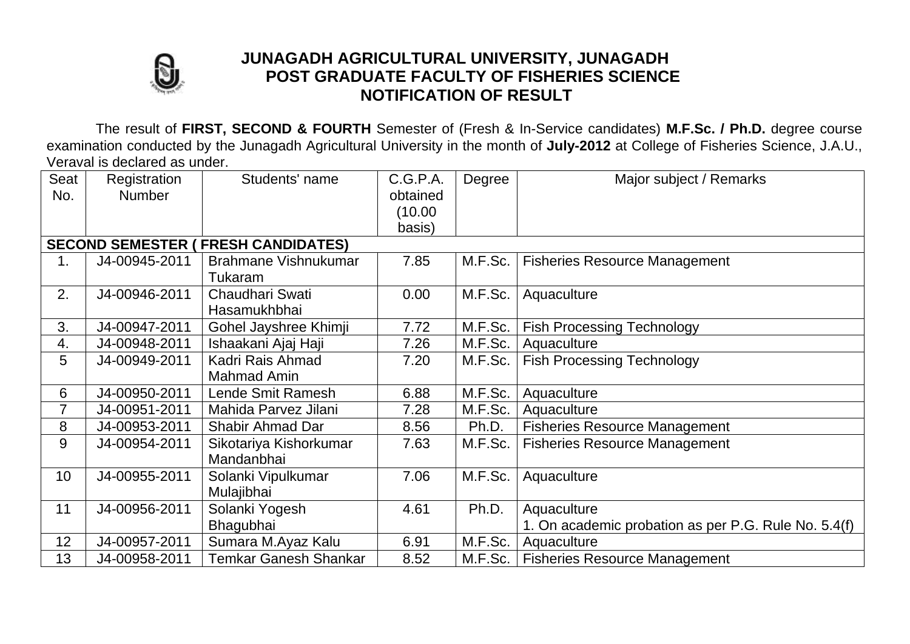

## **JUNAGADH AGRICULTURAL UNIVERSITY, JUNAGADH POST GRADUATE FACULTY OF FISHERIES SCIENCE NOTIFICATION OF RESULT**

The result of **FIRST, SECOND & FOURTH** Semester of (Fresh & In-Service candidates) **M.F.Sc. / Ph.D.** degree course examination conducted by the Junagadh Agricultural University in the month of **July-2012** at College of Fisheries Science, J.A.U., Veraval is declared as under.

| Seat                                       | Registration  | Students' name               | C.G.P.A. | Degree  | Major subject / Remarks                              |  |  |  |  |  |
|--------------------------------------------|---------------|------------------------------|----------|---------|------------------------------------------------------|--|--|--|--|--|
| No.                                        | <b>Number</b> |                              | obtained |         |                                                      |  |  |  |  |  |
|                                            |               |                              | (10.00)  |         |                                                      |  |  |  |  |  |
|                                            |               |                              | basis)   |         |                                                      |  |  |  |  |  |
| <b>SECOND SEMESTER ( FRESH CANDIDATES)</b> |               |                              |          |         |                                                      |  |  |  |  |  |
| 1.                                         | J4-00945-2011 | Brahmane Vishnukumar         | 7.85     | M.F.Sc. | <b>Fisheries Resource Management</b>                 |  |  |  |  |  |
|                                            |               | Tukaram                      |          |         |                                                      |  |  |  |  |  |
| 2.                                         | J4-00946-2011 | Chaudhari Swati              | 0.00     | M.F.Sc. | Aquaculture                                          |  |  |  |  |  |
|                                            |               | Hasamukhbhai                 |          |         |                                                      |  |  |  |  |  |
| 3.                                         | J4-00947-2011 | Gohel Jayshree Khimji        | 7.72     | M.F.Sc. | <b>Fish Processing Technology</b>                    |  |  |  |  |  |
| 4.                                         | J4-00948-2011 | Ishaakani Ajaj Haji          | 7.26     | M.F.Sc. | Aquaculture                                          |  |  |  |  |  |
| 5                                          | J4-00949-2011 | Kadri Rais Ahmad             | 7.20     | M.F.Sc. | <b>Fish Processing Technology</b>                    |  |  |  |  |  |
|                                            |               | Mahmad Amin                  |          |         |                                                      |  |  |  |  |  |
| 6                                          | J4-00950-2011 | Lende Smit Ramesh            | 6.88     | M.F.Sc. | Aquaculture                                          |  |  |  |  |  |
| 7                                          | J4-00951-2011 | Mahida Parvez Jilani         | 7.28     | M.F.Sc. | Aquaculture                                          |  |  |  |  |  |
| 8                                          | J4-00953-2011 | <b>Shabir Ahmad Dar</b>      | 8.56     | Ph.D.   | <b>Fisheries Resource Management</b>                 |  |  |  |  |  |
| 9                                          | J4-00954-2011 | Sikotariya Kishorkumar       | 7.63     | M.F.Sc. | <b>Fisheries Resource Management</b>                 |  |  |  |  |  |
|                                            |               | Mandanbhai                   |          |         |                                                      |  |  |  |  |  |
| 10                                         | J4-00955-2011 | Solanki Vipulkumar           | 7.06     | M.F.Sc. | Aquaculture                                          |  |  |  |  |  |
|                                            |               | Mulajibhai                   |          |         |                                                      |  |  |  |  |  |
| 11                                         | J4-00956-2011 | Solanki Yogesh               | 4.61     | Ph.D.   | Aquaculture                                          |  |  |  |  |  |
|                                            |               | Bhagubhai                    |          |         | 1. On academic probation as per P.G. Rule No. 5.4(f) |  |  |  |  |  |
| 12                                         | J4-00957-2011 | Sumara M.Ayaz Kalu           | 6.91     | M.F.Sc. | Aquaculture                                          |  |  |  |  |  |
| 13                                         | J4-00958-2011 | <b>Temkar Ganesh Shankar</b> | 8.52     | M.F.Sc. | <b>Fisheries Resource Management</b>                 |  |  |  |  |  |